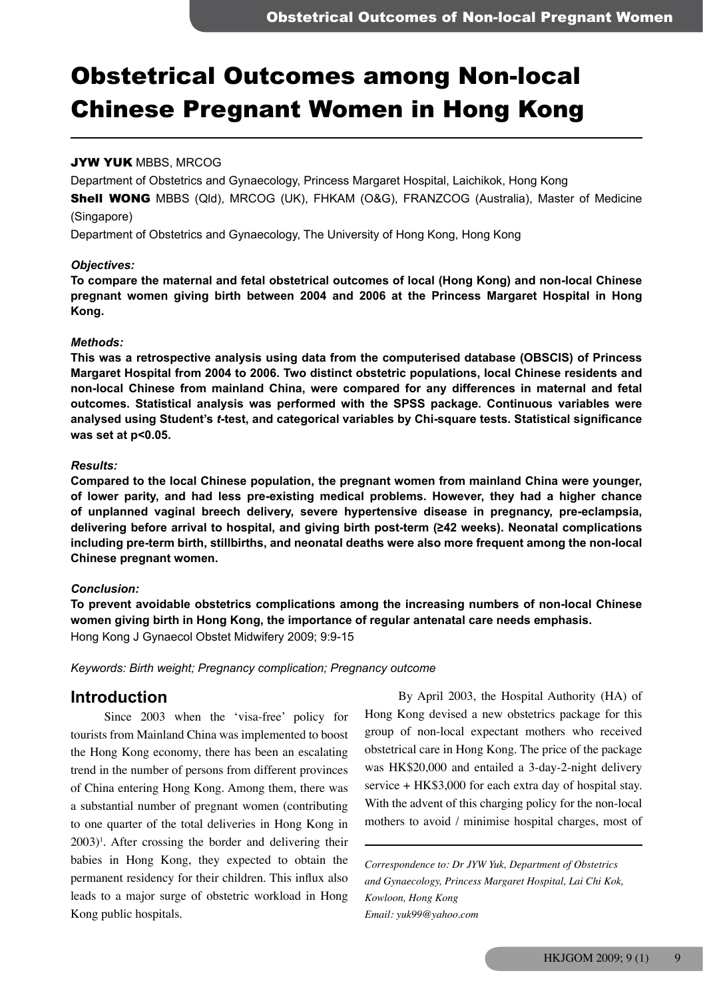# Obstetrical Outcomes among Non-local Chinese Pregnant Women in Hong Kong

## JYW YUK MBBS, MRCOG

Department of Obstetrics and Gynaecology, Princess Margaret Hospital, Laichikok, Hong Kong

**Shell WONG** MBBS (Qld), MRCOG (UK), FHKAM (O&G), FRANZCOG (Australia), Master of Medicine (Singapore)

Department of Obstetrics and Gynaecology, The University of Hong Kong, Hong Kong

### *Objectives:*

**To compare the maternal and fetal obstetrical outcomes of local (Hong Kong) and non-local Chinese pregnant women giving birth between 2004 and 2006 at the Princess Margaret Hospital in Hong Kong.**

### *Methods:*

**This was a retrospective analysis using data from the computerised database (OBSCIS) of Princess Margaret Hospital from 2004 to 2006. Two distinct obstetric populations, local Chinese residents and non-local Chinese from mainland China, were compared for any differences in maternal and fetal outcomes. Statistical analysis was performed with the SPSS package. Continuous variables were analysed using Student's** *t***-test, and categorical variables by Chi-square tests. Statistical significance was set at p<0.05.**

### *Results:*

**Compared to the local Chinese population, the pregnant women from mainland China were younger, of lower parity, and had less pre-existing medical problems. However, they had a higher chance of unplanned vaginal breech delivery, severe hypertensive disease in pregnancy, pre-eclampsia, delivering before arrival to hospital, and giving birth post-term (≥42 weeks). Neonatal complications including pre-term birth, stillbirths, and neonatal deaths were also more frequent among the non-local Chinese pregnant women.**

## *Conclusion:*

**To prevent avoidable obstetrics complications among the increasing numbers of non-local Chinese women giving birth in Hong Kong, the importance of regular antenatal care needs emphasis.** Hong Kong J Gynaecol Obstet Midwifery 2009; 9:9-15

*Keywords: Birth weight; Pregnancy complication; Pregnancy outcome*

## **Introduction**

Since 2003 when the 'visa-free' policy for tourists from Mainland China was implemented to boost the Hong Kong economy, there has been an escalating trend in the number of persons from different provinces of China entering Hong Kong. Among them, there was a substantial number of pregnant women (contributing to one quarter of the total deliveries in Hong Kong in 2003)1 . After crossing the border and delivering their babies in Hong Kong, they expected to obtain the permanent residency for their children. This influx also leads to a major surge of obstetric workload in Hong Kong public hospitals.

By April 2003, the Hospital Authority (HA) of Hong Kong devised a new obstetrics package for this group of non-local expectant mothers who received obstetrical care in Hong Kong. The price of the package was HK\$20,000 and entailed a 3-day-2-night delivery service + HK\$3,000 for each extra day of hospital stay. With the advent of this charging policy for the non-local mothers to avoid / minimise hospital charges, most of

*Correspondence to: Dr JYW Yuk, Department of Obstetrics and Gynaecology, Princess Margaret Hospital, Lai Chi Kok, Kowloon, Hong Kong Email: yuk99@yahoo.com*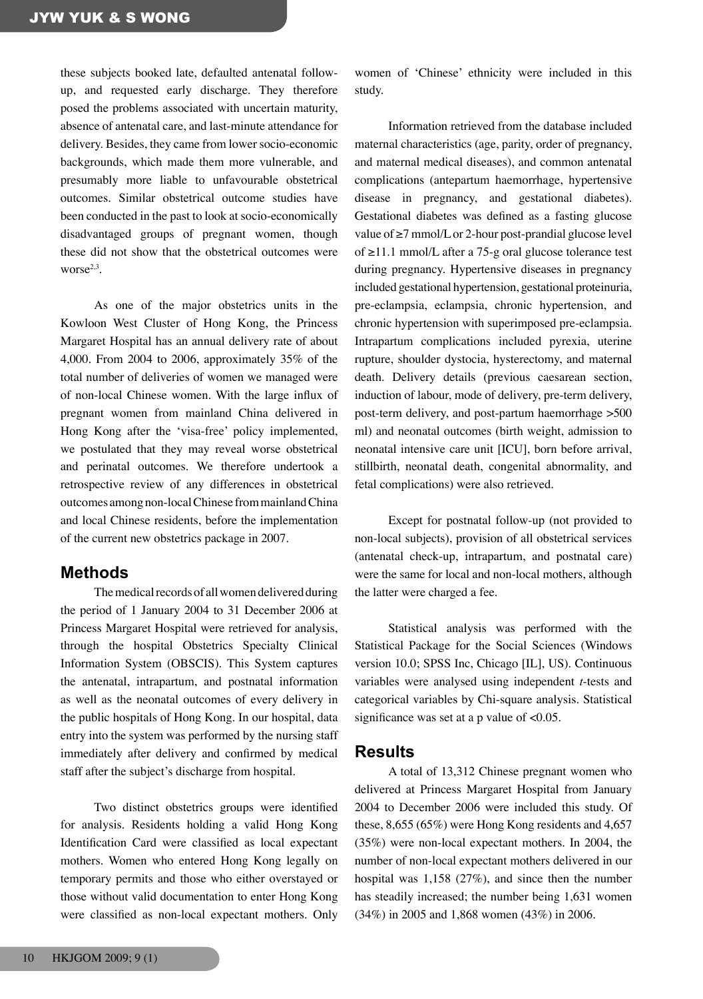these subjects booked late, defaulted antenatal followup, and requested early discharge. They therefore posed the problems associated with uncertain maturity, absence of antenatal care, and last-minute attendance for delivery. Besides, they came from lower socio-economic backgrounds, which made them more vulnerable, and presumably more liable to unfavourable obstetrical outcomes. Similar obstetrical outcome studies have been conducted in the past to look at socio-economically disadvantaged groups of pregnant women, though these did not show that the obstetrical outcomes were worse $2,3$ .

As one of the major obstetrics units in the Kowloon West Cluster of Hong Kong, the Princess Margaret Hospital has an annual delivery rate of about 4,000. From 2004 to 2006, approximately 35% of the total number of deliveries of women we managed were of non-local Chinese women. With the large influx of pregnant women from mainland China delivered in Hong Kong after the 'visa-free' policy implemented, we postulated that they may reveal worse obstetrical and perinatal outcomes. We therefore undertook a retrospective review of any differences in obstetrical outcomes among non-local Chinese from mainland China and local Chinese residents, before the implementation of the current new obstetrics package in 2007.

## **Methods**

The medical records of all women delivered during the period of 1 January 2004 to 31 December 2006 at Princess Margaret Hospital were retrieved for analysis, through the hospital Obstetrics Specialty Clinical Information System (OBSCIS). This System captures the antenatal, intrapartum, and postnatal information as well as the neonatal outcomes of every delivery in the public hospitals of Hong Kong. In our hospital, data entry into the system was performed by the nursing staff immediately after delivery and confirmed by medical staff after the subject's discharge from hospital.

Two distinct obstetrics groups were identified for analysis. Residents holding a valid Hong Kong Identification Card were classified as local expectant mothers. Women who entered Hong Kong legally on temporary permits and those who either overstayed or those without valid documentation to enter Hong Kong were classified as non-local expectant mothers. Only

women of 'Chinese' ethnicity were included in this study.

Information retrieved from the database included maternal characteristics (age, parity, order of pregnancy, and maternal medical diseases), and common antenatal complications (antepartum haemorrhage, hypertensive disease in pregnancy, and gestational diabetes). Gestational diabetes was defined as a fasting glucose value of ≥7 mmol/L or 2-hour post-prandial glucose level of ≥11.1 mmol/L after a 75-g oral glucose tolerance test during pregnancy. Hypertensive diseases in pregnancy included gestational hypertension, gestational proteinuria, pre-eclampsia, eclampsia, chronic hypertension, and chronic hypertension with superimposed pre-eclampsia. Intrapartum complications included pyrexia, uterine rupture, shoulder dystocia, hysterectomy, and maternal death. Delivery details (previous caesarean section, induction of labour, mode of delivery, pre-term delivery, post-term delivery, and post-partum haemorrhage >500 ml) and neonatal outcomes (birth weight, admission to neonatal intensive care unit [ICU], born before arrival, stillbirth, neonatal death, congenital abnormality, and fetal complications) were also retrieved.

Except for postnatal follow-up (not provided to non-local subjects), provision of all obstetrical services (antenatal check-up, intrapartum, and postnatal care) were the same for local and non-local mothers, although the latter were charged a fee.

Statistical analysis was performed with the Statistical Package for the Social Sciences (Windows version 10.0; SPSS Inc, Chicago [IL], US). Continuous variables were analysed using independent *t*-tests and categorical variables by Chi-square analysis. Statistical significance was set at a p value of <0.05.

## **Results**

A total of 13,312 Chinese pregnant women who delivered at Princess Margaret Hospital from January 2004 to December 2006 were included this study. Of these, 8,655 (65%) were Hong Kong residents and 4,657 (35%) were non-local expectant mothers. In 2004, the number of non-local expectant mothers delivered in our hospital was 1,158 (27%), and since then the number has steadily increased; the number being 1,631 women (34%) in 2005 and 1,868 women (43%) in 2006.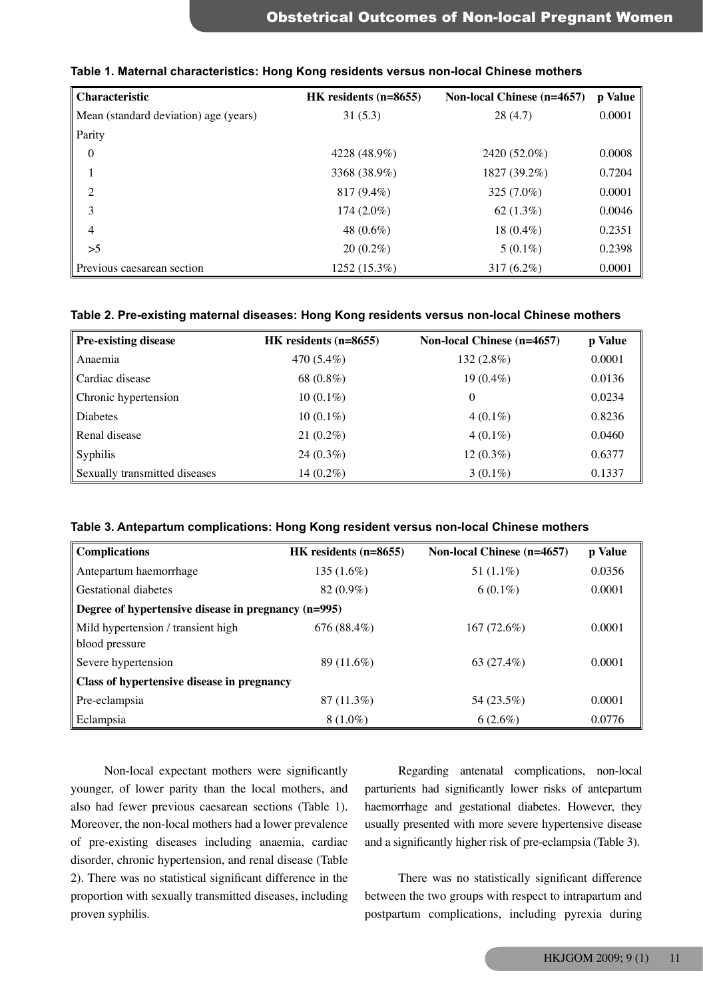| Characteristic                        | HK residents (n=8655) | Non-local Chinese (n=4657) | p Value |
|---------------------------------------|-----------------------|----------------------------|---------|
| Mean (standard deviation) age (years) | 31(5.3)               | 28(4.7)                    | 0.0001  |
| Parity                                |                       |                            |         |
| $\overline{0}$                        | 4228 (48.9%)          | 2420 (52.0%)               | 0.0008  |
|                                       | 3368 (38.9%)          | 1827 (39.2%)               | 0.7204  |
| 2                                     | $817(9.4\%)$          | 325 (7.0%)                 | 0.0001  |
| 3                                     | $174(2.0\%)$          | $62(1.3\%)$                | 0.0046  |
| $\overline{4}$                        | 48 $(0.6\%)$          | 18 $(0.4\%)$               | 0.2351  |
| >5                                    | $20(0.2\%)$           | $5(0.1\%)$                 | 0.2398  |
| Previous caesarean section            | 1252 (15.3%)          | 317 $(6.2\%)$              | 0.0001  |

### **Table 1. Maternal characteristics: Hong Kong residents versus non-local Chinese mothers**

## **Table 2. Pre-existing maternal diseases: Hong Kong residents versus non-local Chinese mothers**

| <b>Pre-existing disease</b>   | HK residents (n=8655) | Non-local Chinese (n=4657) | p Value |
|-------------------------------|-----------------------|----------------------------|---------|
| Anaemia                       | 470 (5.4%)            | $132(2.8\%)$               | 0.0001  |
| Cardiac disease               | 68 (0.8%)             | $19(0.4\%)$                | 0.0136  |
| Chronic hypertension          | $10(0.1\%)$           | 0                          | 0.0234  |
| Diabetes                      | $10(0.1\%)$           | $4(0.1\%)$                 | 0.8236  |
| Renal disease                 | $21(0.2\%)$           | $4(0.1\%)$                 | 0.0460  |
| Syphilis                      | $24(0.3\%)$           | $12(0.3\%)$                | 0.6377  |
| Sexually transmitted diseases | $14(0.2\%)$           | $3(0.1\%)$                 | 0.1337  |

| Table 3. Antepartum complications: Hong Kong resident versus non-local Chinese mothers |  |  |  |  |  |  |  |
|----------------------------------------------------------------------------------------|--|--|--|--|--|--|--|
|----------------------------------------------------------------------------------------|--|--|--|--|--|--|--|

| <b>Complications</b>                                | HK residents (n=8655) | <b>Non-local Chinese (n=4657)</b> | p Value |  |  |
|-----------------------------------------------------|-----------------------|-----------------------------------|---------|--|--|
| Antepartum haemorrhage                              | 135 (1.6%)            | 51 $(1.1\%)$                      | 0.0356  |  |  |
| Gestational diabetes                                | $82(0.9\%)$           | $6(0.1\%)$                        | 0.0001  |  |  |
| Degree of hypertensive disease in pregnancy (n=995) |                       |                                   |         |  |  |
| Mild hypertension / transient high                  | 676(88.4%)            | 167(72.6%)                        | 0.0001  |  |  |
| blood pressure                                      |                       |                                   |         |  |  |
| Severe hypertension                                 | 89 (11.6%)            | 63 $(27.4\%)$                     | 0.0001  |  |  |
| Class of hypertensive disease in pregnancy          |                       |                                   |         |  |  |
| Pre-eclampsia                                       | 87 (11.3%)            | 54 (23.5%)                        | 0.0001  |  |  |
| Eclampsia                                           | $8(1.0\%)$            | $6(2.6\%)$                        | 0.0776  |  |  |

Non-local expectant mothers were significantly younger, of lower parity than the local mothers, and also had fewer previous caesarean sections (Table 1). Moreover, the non-local mothers had a lower prevalence of pre-existing diseases including anaemia, cardiac disorder, chronic hypertension, and renal disease (Table 2). There was no statistical significant difference in the proportion with sexually transmitted diseases, including proven syphilis.

Regarding antenatal complications, non-local parturients had significantly lower risks of antepartum haemorrhage and gestational diabetes. However, they usually presented with more severe hypertensive disease and a significantly higher risk of pre-eclampsia (Table 3).

There was no statistically significant difference between the two groups with respect to intrapartum and postpartum complications, including pyrexia during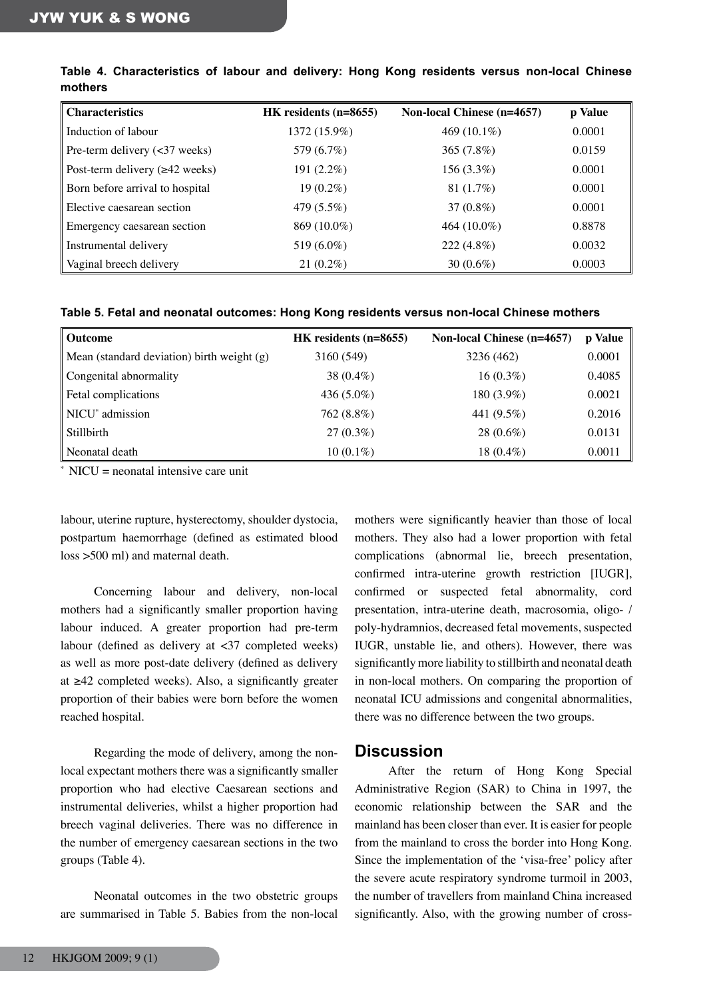| <b>Characteristics</b>               | $HK$ residents (n=8655) | <b>Non-local Chinese (n=4657)</b> | p Value |
|--------------------------------------|-------------------------|-----------------------------------|---------|
| Induction of labour                  | 1372 (15.9%)            | 469 $(10.1\%)$                    | 0.0001  |
| Pre-term delivery $(\leq 37$ weeks)  | 579 (6.7%)              | 365 (7.8%)                        | 0.0159  |
| Post-term delivery $(\geq 42$ weeks) | $191(2.2\%)$            | $156(3.3\%)$                      | 0.0001  |
| Born before arrival to hospital      | $19(0.2\%)$             | 81 $(1.7\%)$                      | 0.0001  |
| Elective caesarean section           | 479 (5.5%)              | $37(0.8\%)$                       | 0.0001  |
| Emergency caesarean section          | 869 (10.0%)             | 464 $(10.0\%)$                    | 0.8878  |
| Instrumental delivery                | 519 (6.0%)              | $222(4.8\%)$                      | 0.0032  |
| Vaginal breech delivery              | $21(0.2\%)$             | 30 $(0.6\%)$                      | 0.0003  |

**Table 4. Characteristics of labour and delivery: Hong Kong residents versus non-local Chinese mothers**

| Outcome                                      | HK residents $(n=8655)$ | <b>Non-local Chinese (n=4657)</b> | p Value |
|----------------------------------------------|-------------------------|-----------------------------------|---------|
| Mean (standard deviation) birth weight $(g)$ | 3160 (549)              | 3236 (462)                        | 0.0001  |
| Congenital abnormality                       | 38 $(0.4\%)$            | $16(0.3\%)$                       | 0.4085  |
| Fetal complications                          | 436 $(5.0\%)$           | 180 (3.9%)                        | 0.0021  |
| NICU <sup>*</sup> admission                  | 762 (8.8%)              | 441 (9.5%)                        | 0.2016  |
| Stillbirth                                   | $27(0.3\%)$             | $28(0.6\%)$                       | 0.0131  |
| Neonatal death                               | $10(0.1\%)$             | 18 $(0.4\%)$                      | 0.0011  |

 $*$  NICU = neonatal intensive care unit

labour, uterine rupture, hysterectomy, shoulder dystocia, postpartum haemorrhage (defined as estimated blood loss >500 ml) and maternal death.

Concerning labour and delivery, non-local mothers had a significantly smaller proportion having labour induced. A greater proportion had pre-term labour (defined as delivery at  $\langle 37 \rangle$  completed weeks) as well as more post-date delivery (defined as delivery at ≥42 completed weeks). Also, a significantly greater proportion of their babies were born before the women reached hospital.

Regarding the mode of delivery, among the nonlocal expectant mothers there was a significantly smaller proportion who had elective Caesarean sections and instrumental deliveries, whilst a higher proportion had breech vaginal deliveries. There was no difference in the number of emergency caesarean sections in the two groups (Table 4).

Neonatal outcomes in the two obstetric groups are summarised in Table 5. Babies from the non-local

mothers were significantly heavier than those of local mothers. They also had a lower proportion with fetal complications (abnormal lie, breech presentation, confirmed intra-uterine growth restriction [IUGR], confirmed or suspected fetal abnormality, cord presentation, intra-uterine death, macrosomia, oligo- / poly-hydramnios, decreased fetal movements, suspected IUGR, unstable lie, and others). However, there was significantly more liability to stillbirth and neonatal death in non-local mothers. On comparing the proportion of neonatal ICU admissions and congenital abnormalities, there was no difference between the two groups.

## **Discussion**

After the return of Hong Kong Special Administrative Region (SAR) to China in 1997, the economic relationship between the SAR and the mainland has been closer than ever. It is easier for people from the mainland to cross the border into Hong Kong. Since the implementation of the 'visa-free' policy after the severe acute respiratory syndrome turmoil in 2003, the number of travellers from mainland China increased significantly. Also, with the growing number of cross-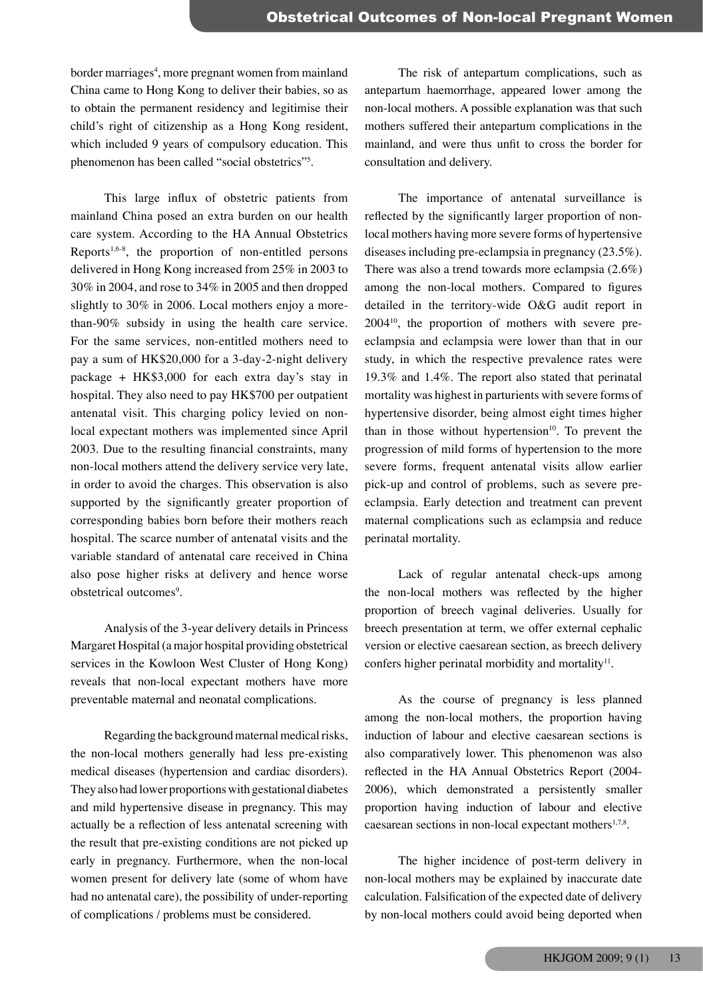border marriages<sup>4</sup>, more pregnant women from mainland China came to Hong Kong to deliver their babies, so as to obtain the permanent residency and legitimise their child's right of citizenship as a Hong Kong resident, which included 9 years of compulsory education. This phenomenon has been called "social obstetrics"<sup>5</sup>.

This large influx of obstetric patients from mainland China posed an extra burden on our health care system. According to the HA Annual Obstetrics Reports<sup>1,6-8</sup>, the proportion of non-entitled persons delivered in Hong Kong increased from 25% in 2003 to 30% in 2004, and rose to 34% in 2005 and then dropped slightly to 30% in 2006. Local mothers enjoy a morethan-90% subsidy in using the health care service. For the same services, non-entitled mothers need to pay a sum of HK\$20,000 for a 3-day-2-night delivery package + HK\$3,000 for each extra day's stay in hospital. They also need to pay HK\$700 per outpatient antenatal visit. This charging policy levied on nonlocal expectant mothers was implemented since April 2003. Due to the resulting financial constraints, many non-local mothers attend the delivery service very late, in order to avoid the charges. This observation is also supported by the significantly greater proportion of corresponding babies born before their mothers reach hospital. The scarce number of antenatal visits and the variable standard of antenatal care received in China also pose higher risks at delivery and hence worse obstetrical outcomes<sup>9</sup>.

Analysis of the 3-year delivery details in Princess Margaret Hospital (a major hospital providing obstetrical services in the Kowloon West Cluster of Hong Kong) reveals that non-local expectant mothers have more preventable maternal and neonatal complications.

Regarding the background maternal medical risks, the non-local mothers generally had less pre-existing medical diseases (hypertension and cardiac disorders). They also had lower proportions with gestational diabetes and mild hypertensive disease in pregnancy. This may actually be a reflection of less antenatal screening with the result that pre-existing conditions are not picked up early in pregnancy. Furthermore, when the non-local women present for delivery late (some of whom have had no antenatal care), the possibility of under-reporting of complications / problems must be considered.

The risk of antepartum complications, such as antepartum haemorrhage, appeared lower among the non-local mothers. A possible explanation was that such mothers suffered their antepartum complications in the mainland, and were thus unfit to cross the border for consultation and delivery.

The importance of antenatal surveillance is reflected by the significantly larger proportion of nonlocal mothers having more severe forms of hypertensive diseases including pre-eclampsia in pregnancy (23.5%). There was also a trend towards more eclampsia (2.6%) among the non-local mothers. Compared to figures detailed in the territory-wide O&G audit report in 200410, the proportion of mothers with severe preeclampsia and eclampsia were lower than that in our study, in which the respective prevalence rates were 19.3% and 1.4%. The report also stated that perinatal mortality was highest in parturients with severe forms of hypertensive disorder, being almost eight times higher than in those without hypertension $10$ . To prevent the progression of mild forms of hypertension to the more severe forms, frequent antenatal visits allow earlier pick-up and control of problems, such as severe preeclampsia. Early detection and treatment can prevent maternal complications such as eclampsia and reduce perinatal mortality.

Lack of regular antenatal check-ups among the non-local mothers was reflected by the higher proportion of breech vaginal deliveries. Usually for breech presentation at term, we offer external cephalic version or elective caesarean section, as breech delivery confers higher perinatal morbidity and mortality $11$ .

As the course of pregnancy is less planned among the non-local mothers, the proportion having induction of labour and elective caesarean sections is also comparatively lower. This phenomenon was also reflected in the HA Annual Obstetrics Report (2004- 2006), which demonstrated a persistently smaller proportion having induction of labour and elective caesarean sections in non-local expectant mothers $1.7,8$ .

The higher incidence of post-term delivery in non-local mothers may be explained by inaccurate date calculation. Falsification of the expected date of delivery by non-local mothers could avoid being deported when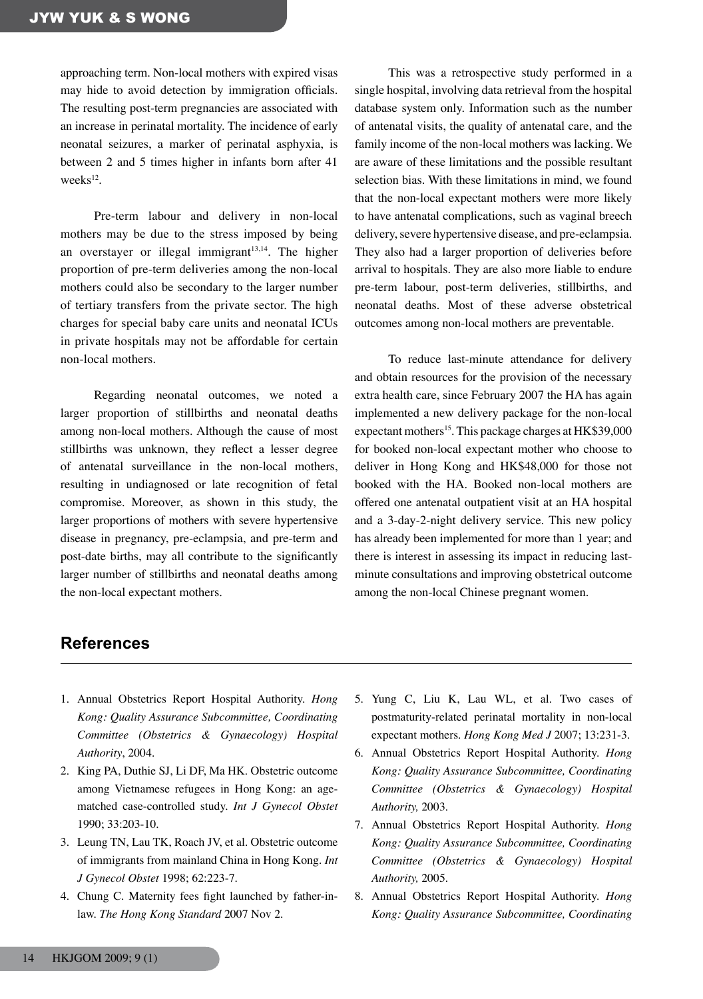approaching term. Non-local mothers with expired visas may hide to avoid detection by immigration officials. The resulting post-term pregnancies are associated with an increase in perinatal mortality. The incidence of early neonatal seizures, a marker of perinatal asphyxia, is between 2 and 5 times higher in infants born after 41 week $s^{12}$ .

Pre-term labour and delivery in non-local mothers may be due to the stress imposed by being an overstayer or illegal immigrant $13,14$ . The higher proportion of pre-term deliveries among the non-local mothers could also be secondary to the larger number of tertiary transfers from the private sector. The high charges for special baby care units and neonatal ICUs in private hospitals may not be affordable for certain non-local mothers.

Regarding neonatal outcomes, we noted a larger proportion of stillbirths and neonatal deaths among non-local mothers. Although the cause of most stillbirths was unknown, they reflect a lesser degree of antenatal surveillance in the non-local mothers, resulting in undiagnosed or late recognition of fetal compromise. Moreover, as shown in this study, the larger proportions of mothers with severe hypertensive disease in pregnancy, pre-eclampsia, and pre-term and post-date births, may all contribute to the significantly larger number of stillbirths and neonatal deaths among the non-local expectant mothers.

This was a retrospective study performed in a single hospital, involving data retrieval from the hospital database system only. Information such as the number of antenatal visits, the quality of antenatal care, and the family income of the non-local mothers was lacking. We are aware of these limitations and the possible resultant selection bias. With these limitations in mind, we found that the non-local expectant mothers were more likely to have antenatal complications, such as vaginal breech delivery, severe hypertensive disease, and pre-eclampsia. They also had a larger proportion of deliveries before arrival to hospitals. They are also more liable to endure pre-term labour, post-term deliveries, stillbirths, and neonatal deaths. Most of these adverse obstetrical outcomes among non-local mothers are preventable.

To reduce last-minute attendance for delivery and obtain resources for the provision of the necessary extra health care, since February 2007 the HA has again implemented a new delivery package for the non-local expectant mothers<sup>15</sup>. This package charges at HK\$39,000 for booked non-local expectant mother who choose to deliver in Hong Kong and HK\$48,000 for those not booked with the HA. Booked non-local mothers are offered one antenatal outpatient visit at an HA hospital and a 3-day-2-night delivery service. This new policy has already been implemented for more than 1 year; and there is interest in assessing its impact in reducing lastminute consultations and improving obstetrical outcome among the non-local Chinese pregnant women.

# **References**

- 1. Annual Obstetrics Report Hospital Authority. *Hong Kong: Quality Assurance Subcommittee, Coordinating Committee (Obstetrics & Gynaecology) Hospital Authority*, 2004.
- 2. King PA, Duthie SJ, Li DF, Ma HK. Obstetric outcome among Vietnamese refugees in Hong Kong: an agematched case-controlled study. *Int J Gynecol Obstet* 1990; 33:203-10.
- 3. Leung TN, Lau TK, Roach JV, et al. Obstetric outcome of immigrants from mainland China in Hong Kong. *Int J Gynecol Obstet* 1998; 62:223-7.
- 4. Chung C. Maternity fees fight launched by father-inlaw. *The Hong Kong Standard* 2007 Nov 2.
- 5. Yung C, Liu K, Lau WL, et al. Two cases of postmaturity-related perinatal mortality in non-local expectant mothers. *Hong Kong Med J* 2007; 13:231-3.
- 6. Annual Obstetrics Report Hospital Authority. *Hong Kong: Quality Assurance Subcommittee, Coordinating Committee (Obstetrics & Gynaecology) Hospital Authority,* 2003.
- 7. Annual Obstetrics Report Hospital Authority. *Hong Kong: Quality Assurance Subcommittee, Coordinating Committee (Obstetrics & Gynaecology) Hospital Authority,* 2005.
- 8. Annual Obstetrics Report Hospital Authority. *Hong Kong: Quality Assurance Subcommittee, Coordinating*